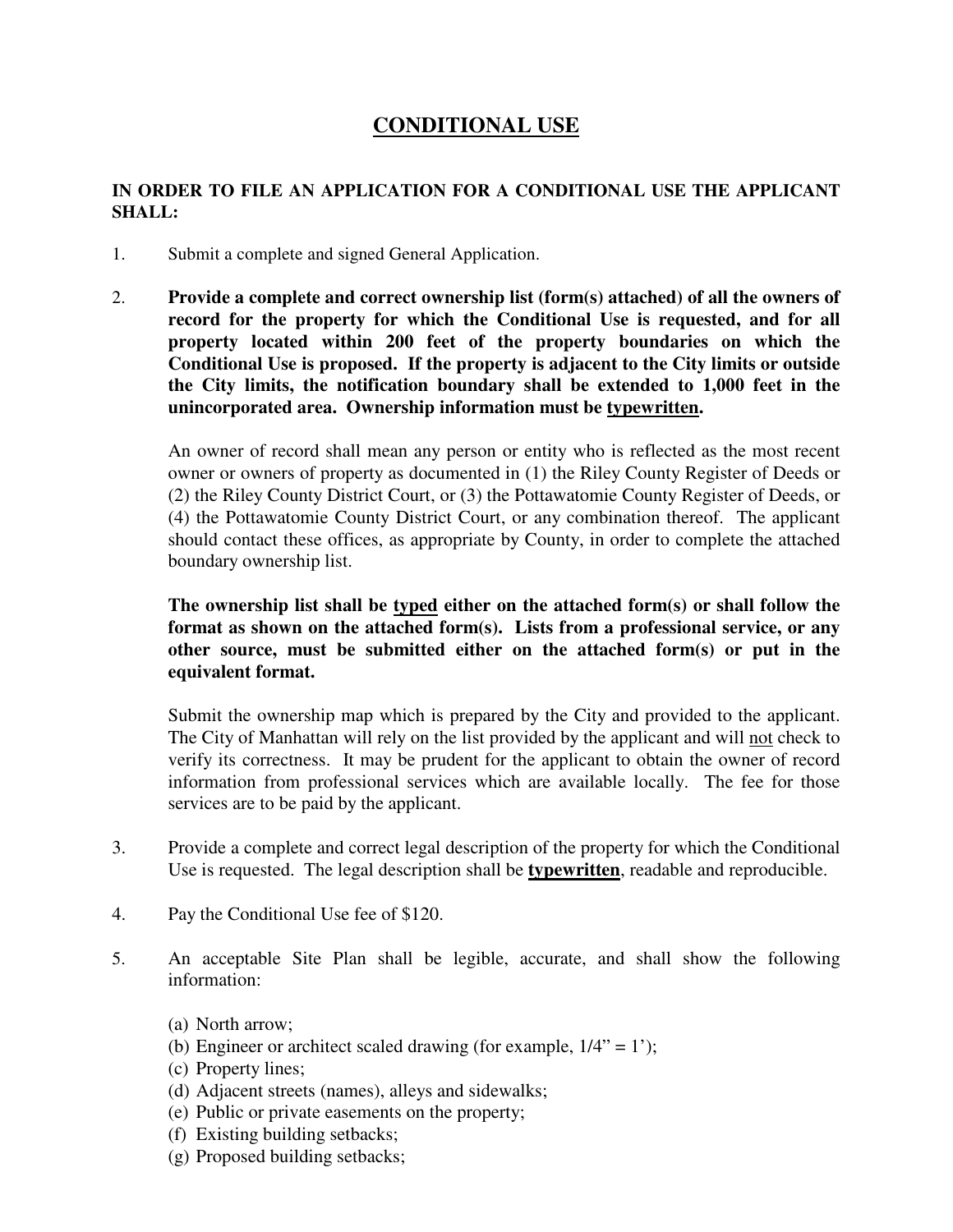## **CONDITIONAL USE**

## **IN ORDER TO FILE AN APPLICATION FOR A CONDITIONAL USE THE APPLICANT SHALL:**

- 1. Submit a complete and signed General Application.
- 2. **Provide a complete and correct ownership list (form(s) attached) of all the owners of record for the property for which the Conditional Use is requested, and for all property located within 200 feet of the property boundaries on which the Conditional Use is proposed. If the property is adjacent to the City limits or outside the City limits, the notification boundary shall be extended to 1,000 feet in the unincorporated area. Ownership information must be typewritten.**

An owner of record shall mean any person or entity who is reflected as the most recent owner or owners of property as documented in (1) the Riley County Register of Deeds or (2) the Riley County District Court, or (3) the Pottawatomie County Register of Deeds, or (4) the Pottawatomie County District Court, or any combination thereof. The applicant should contact these offices, as appropriate by County, in order to complete the attached boundary ownership list.

## **The ownership list shall be typed either on the attached form(s) or shall follow the format as shown on the attached form(s). Lists from a professional service, or any other source, must be submitted either on the attached form(s) or put in the equivalent format.**

Submit the ownership map which is prepared by the City and provided to the applicant. The City of Manhattan will rely on the list provided by the applicant and will not check to verify its correctness. It may be prudent for the applicant to obtain the owner of record information from professional services which are available locally. The fee for those services are to be paid by the applicant.

- 3. Provide a complete and correct legal description of the property for which the Conditional Use is requested. The legal description shall be **typewritten**, readable and reproducible.
- 4. Pay the Conditional Use fee of \$120.
- 5. An acceptable Site Plan shall be legible, accurate, and shall show the following information:
	- (a) North arrow;
	- (b) Engineer or architect scaled drawing (for example,  $1/4$ " = 1');
	- (c) Property lines;
	- (d) Adjacent streets (names), alleys and sidewalks;
	- (e) Public or private easements on the property;
	- (f) Existing building setbacks;
	- (g) Proposed building setbacks;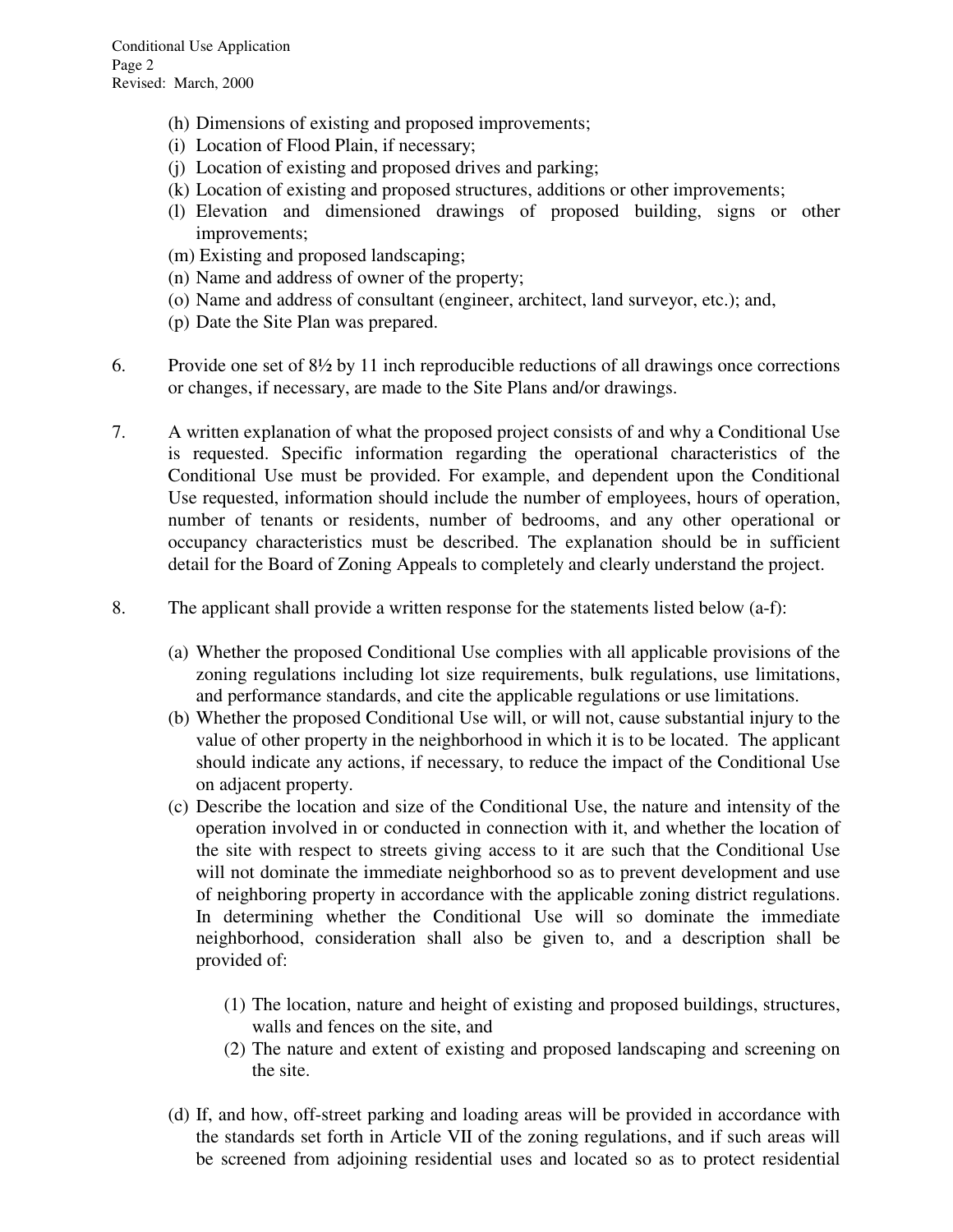- (h) Dimensions of existing and proposed improvements;
- (i) Location of Flood Plain, if necessary;
- (j) Location of existing and proposed drives and parking;
- (k) Location of existing and proposed structures, additions or other improvements;
- (l) Elevation and dimensioned drawings of proposed building, signs or other improvements;
- (m) Existing and proposed landscaping;
- (n) Name and address of owner of the property;
- (o) Name and address of consultant (engineer, architect, land surveyor, etc.); and,
- (p) Date the Site Plan was prepared.
- 6. Provide one set of 8½ by 11 inch reproducible reductions of all drawings once corrections or changes, if necessary, are made to the Site Plans and/or drawings.
- 7. A written explanation of what the proposed project consists of and why a Conditional Use is requested. Specific information regarding the operational characteristics of the Conditional Use must be provided. For example, and dependent upon the Conditional Use requested, information should include the number of employees, hours of operation, number of tenants or residents, number of bedrooms, and any other operational or occupancy characteristics must be described. The explanation should be in sufficient detail for the Board of Zoning Appeals to completely and clearly understand the project.
- 8. The applicant shall provide a written response for the statements listed below (a-f):
	- (a) Whether the proposed Conditional Use complies with all applicable provisions of the zoning regulations including lot size requirements, bulk regulations, use limitations, and performance standards, and cite the applicable regulations or use limitations.
	- (b) Whether the proposed Conditional Use will, or will not, cause substantial injury to the value of other property in the neighborhood in which it is to be located. The applicant should indicate any actions, if necessary, to reduce the impact of the Conditional Use on adjacent property.
	- (c) Describe the location and size of the Conditional Use, the nature and intensity of the operation involved in or conducted in connection with it, and whether the location of the site with respect to streets giving access to it are such that the Conditional Use will not dominate the immediate neighborhood so as to prevent development and use of neighboring property in accordance with the applicable zoning district regulations. In determining whether the Conditional Use will so dominate the immediate neighborhood, consideration shall also be given to, and a description shall be provided of:
		- (1) The location, nature and height of existing and proposed buildings, structures, walls and fences on the site, and
		- (2) The nature and extent of existing and proposed landscaping and screening on the site.
	- (d) If, and how, off-street parking and loading areas will be provided in accordance with the standards set forth in Article VII of the zoning regulations, and if such areas will be screened from adjoining residential uses and located so as to protect residential